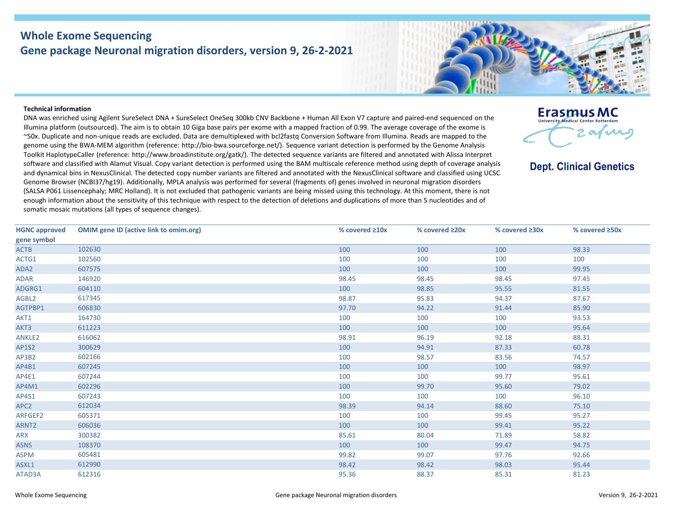## **Whole Exome Sequencing Gene package Neuronal migration disorders, version 9, 26-2-2021**



**Erasmus MC** 

**Dept. Clinical Genetics** 

2 af var

## **Technical information**

DNA was enriched using Agilent SureSelect DNA + SureSelect OneSeq 300kb CNV Backbone + Human All Exon V7 capture and paired-end sequenced on the Illumina platform (outsourced). The aim is to obtain 10 Giga base pairs per exome with a mapped fraction of 0.99. The average coverage of the exome is ~50x. Duplicate and non-unique reads are excluded. Data are demultiplexed with bcl2fastq Conversion Software from Illumina. Reads are mapped to the genome using the BWA-MEM algorithm (reference: http://bio-bwa.sourceforge.net/). Sequence variant detection is performed by the Genome Analysis Toolkit HaplotypeCaller (reference: http://www.broadinstitute.org/gatk/). The detected sequence variants are filtered and annotated with Alissa Interpret software and classified with Alamut Visual. Copy variant detection is performed using the BAM multiscale reference method using depth of coverage analysis and dynamical bins in NexusClinical. The detected copy number variants are filtered and annotated with the NexusClinical software and classified using UCSC Genome Browser (NCBI37/hg19). Additionally, MPLA analysis was performed for several (fragments of) genes involved in neuronal migration disorders (SALSA P061 Lissencephaly; MRC Holland). It is not excluded that pathogenic variants are being missed using this technology. At this moment, there is not enough information about the sensitivity of this technique with respect to the detection of deletions and duplications of more than 5 nucleotides and of somatic mosaic mutations (all types of sequence changes).

| <b>HGNC approved</b> | <b>OMIM gene ID (active link to omim.org)</b> | % covered $\geq 10x$ | % covered ≥20x | % covered ≥30x | % covered ≥50x |
|----------------------|-----------------------------------------------|----------------------|----------------|----------------|----------------|
| gene symbol          |                                               |                      |                |                |                |
| <b>ACTB</b>          | 102630                                        | 100                  | 100            | 100            | 98.33          |
| ACTG1                | 102560                                        | 100                  | 100            | 100            | 100            |
| ADA2                 | 607575                                        | 100                  | 100            | 100            | 99.95          |
| <b>ADAR</b>          | 146920                                        | 98.45                | 98.45          | 98.45          | 97.45          |
| ADGRG1               | 604110                                        | 100                  | 98.85          | 95.55          | 81.55          |
| AGBL2                | 617345                                        | 98.87                | 95.83          | 94.37          | 87.67          |
| AGTPBP1              | 606830                                        | 97.70                | 94.22          | 91.44          | 85.90          |
| AKT1                 | 164730                                        | 100                  | 100            | 100            | 93.53          |
| AKT3                 | 611223                                        | 100                  | 100            | 100            | 95.64          |
| ANKLE2               | 616062                                        | 98.91                | 96.19          | 92.18          | 88.31          |
| AP1S2                | 300629                                        | 100                  | 94.91          | 87.33          | 60.78          |
| AP3B2                | 602166                                        | 100                  | 98.57          | 83.56          | 74.57          |
| AP4B1                | 607245                                        | 100                  | 100            | 100            | 98.97          |
| AP4E1                | 607244                                        | 100                  | 100            | 99.77          | 95.61          |
| AP4M1                | 602296                                        | 100                  | 99.70          | 95.60          | 79.02          |
| AP4S1                | 607243                                        | 100                  | 100            | 100            | 96.10          |
| APC <sub>2</sub>     | 612034                                        | 98.39                | 94.14          | 88.60          | 75.10          |
| ARFGEF2              | 605371                                        | 100                  | 100            | 99.45          | 95.27          |
| ARNT <sub>2</sub>    | 606036                                        | 100                  | 100            | 99.41          | 95.22          |
| <b>ARX</b>           | 300382                                        | 85.61                | 80.04          | 71.89          | 58.82          |
| <b>ASNS</b>          | 108370                                        | 100                  | 100            | 99.47          | 94.75          |
| <b>ASPM</b>          | 605481                                        | 99.82                | 99.07          | 97.76          | 92.66          |
| ASXL1                | 612990                                        | 98.42                | 98.42          | 98.03          | 95.44          |
| ATAD3A               | 612316                                        | 95.36                | 88.37          | 85.31          | 81.23          |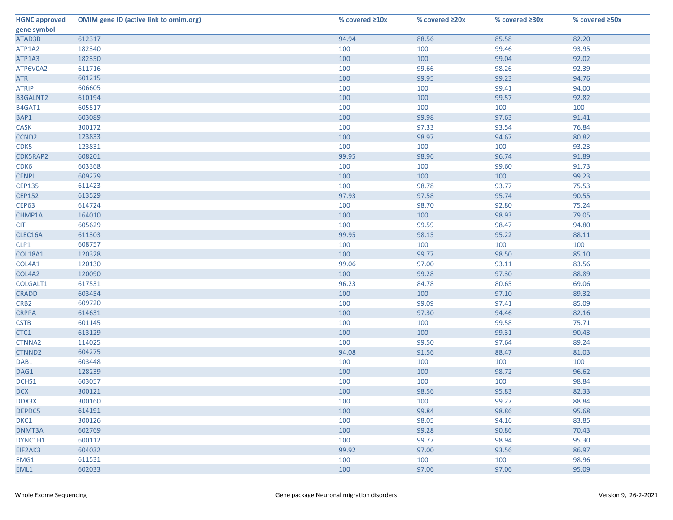| <b>HGNC approved</b> | <b>OMIM gene ID (active link to omim.org)</b> | % covered $\geq 10x$ | % covered ≥20x | % covered ≥30x | % covered ≥50x |
|----------------------|-----------------------------------------------|----------------------|----------------|----------------|----------------|
| gene symbol          |                                               |                      |                |                |                |
| ATAD3B               | 612317                                        | 94.94                | 88.56          | 85.58          | 82.20          |
| ATP1A2               | 182340                                        | 100                  | 100            | 99.46          | 93.95          |
| ATP1A3               | 182350                                        | 100                  | 100            | 99.04          | 92.02          |
| ATP6V0A2             | 611716                                        | 100                  | 99.66          | 98.26          | 92.39          |
| <b>ATR</b>           | 601215                                        | 100                  | 99.95          | 99.23          | 94.76          |
| <b>ATRIP</b>         | 606605                                        | 100                  | 100            | 99.41          | 94.00          |
| <b>B3GALNT2</b>      | 610194                                        | 100                  | 100            | 99.57          | 92.82          |
| B4GAT1               | 605517                                        | 100                  | 100            | 100            | 100            |
| BAP1                 | 603089                                        | 100                  | 99.98          | 97.63          | 91.41          |
| <b>CASK</b>          | 300172                                        | 100                  | 97.33          | 93.54          | 76.84          |
| CCND <sub>2</sub>    | 123833                                        | 100                  | 98.97          | 94.67          | 80.82          |
| CDK5                 | 123831                                        | 100                  | 100            | 100            | 93.23          |
| CDK5RAP2             | 608201                                        | 99.95                | 98.96          | 96.74          | 91.89          |
| CDK6                 | 603368                                        | 100                  | 100            | 99.60          | 91.73          |
| <b>CENPJ</b>         | 609279                                        | 100                  | 100            | 100            | 99.23          |
| <b>CEP135</b>        | 611423                                        | 100                  | 98.78          | 93.77          | 75.53          |
| <b>CEP152</b>        | 613529                                        | 97.93                | 97.58          | 95.74          | 90.55          |
| <b>CEP63</b>         | 614724                                        | 100                  | 98.70          | 92.80          | 75.24          |
| CHMP1A               | 164010                                        | 100                  | 100            | 98.93          | 79.05          |
| <b>CIT</b>           | 605629                                        | 100                  | 99.59          | 98.47          | 94.80          |
| CLEC16A              | 611303                                        | 99.95                | 98.15          | 95.22          | 88.11          |
| CLP1                 | 608757                                        | 100                  | 100            | 100            | 100            |
| <b>COL18A1</b>       | 120328                                        | 100                  | 99.77          | 98.50          | 85.10          |
| COL4A1               | 120130                                        | 99.06                | 97.00          | 93.11          | 83.56          |
| COL4A2               | 120090                                        | 100                  | 99.28          | 97.30          | 88.89          |
| COLGALT1             | 617531                                        | 96.23                | 84.78          | 80.65          | 69.06          |
| <b>CRADD</b>         | 603454                                        | 100                  | 100            | 97.10          | 89.32          |
| CRB <sub>2</sub>     | 609720                                        | 100                  | 99.09          | 97.41          | 85.09          |
| <b>CRPPA</b>         | 614631                                        | 100                  | 97.30          | 94.46          | 82.16          |
| <b>CSTB</b>          | 601145                                        | 100                  | 100            | 99.58          | 75.71          |
| CTC1                 | 613129                                        | 100                  | 100            | 99.31          | 90.43          |
| CTNNA2               | 114025                                        | 100                  | 99.50          | 97.64          | 89.24          |
| CTNND2               | 604275                                        | 94.08                | 91.56          | 88.47          | 81.03          |
| DAB1                 | 603448                                        | 100                  | 100            | 100            | 100            |
| DAG1                 | 128239                                        | 100                  | 100            | 98.72          | 96.62          |
| DCHS1                | 603057                                        | 100                  | 100            | 100            | 98.84          |
| <b>DCX</b>           | 300121                                        | 100                  | 98.56          | 95.83          | 82.33          |
| DDX3X                | 300160                                        | 100                  | 100            | 99.27          | 88.84          |
| DEPDC5               | 614191                                        | 100                  | 99.84          | 98.86          | 95.68          |
| DKC1                 | 300126                                        | 100                  | 98.05          | 94.16          | 83.85          |
| DNMT3A               | 602769                                        | 100                  | 99.28          | 90.86          | 70.43          |
| DYNC1H1              | 600112                                        | 100                  | 99.77          | 98.94          | 95.30          |
| EIF2AK3              | 604032                                        | 99.92                | 97.00          | 93.56          | 86.97          |
| EMG1                 | 611531                                        | 100                  | 100            | 100            | 98.96          |
| EML1                 | 602033                                        | 100                  | 97.06          | 97.06          | 95.09          |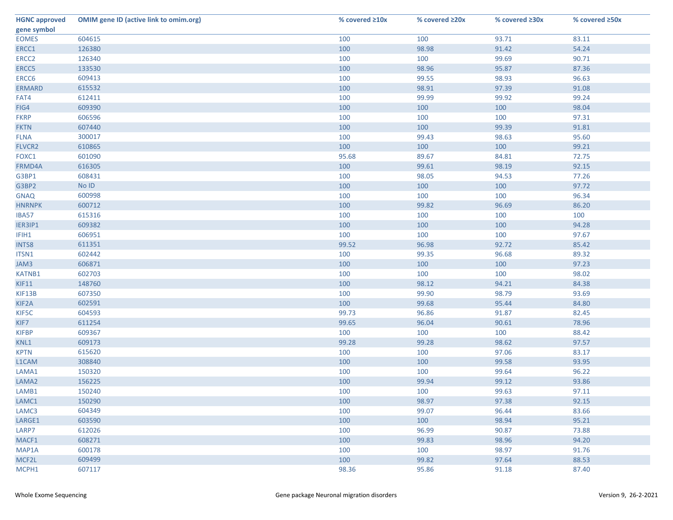| <b>HGNC approved</b> | <b>OMIM gene ID (active link to omim.org)</b> | % covered $\geq 10x$ | % covered ≥20x | % covered ≥30x | % covered ≥50x |
|----------------------|-----------------------------------------------|----------------------|----------------|----------------|----------------|
| gene symbol          |                                               |                      |                |                |                |
| <b>EOMES</b>         | 604615                                        | 100                  | 100            | 93.71          | 83.11          |
| ERCC1                | 126380                                        | 100                  | 98.98          | 91.42          | 54.24          |
| ERCC <sub>2</sub>    | 126340                                        | 100                  | 100            | 99.69          | 90.71          |
| ERCC5                | 133530                                        | 100                  | 98.96          | 95.87          | 87.36          |
| ERCC6                | 609413                                        | 100                  | 99.55          | 98.93          | 96.63          |
| <b>ERMARD</b>        | 615532                                        | 100                  | 98.91          | 97.39          | 91.08          |
| FAT4                 | 612411                                        | 100                  | 99.99          | 99.92          | 99.24          |
| FIG4                 | 609390                                        | 100                  | 100            | 100            | 98.04          |
| <b>FKRP</b>          | 606596                                        | 100                  | 100            | 100            | 97.31          |
| <b>FKTN</b>          | 607440                                        | 100                  | 100            | 99.39          | 91.81          |
| <b>FLNA</b>          | 300017                                        | 100                  | 99.43          | 98.63          | 95.60          |
| FLVCR2               | 610865                                        | 100                  | 100            | 100            | 99.21          |
| FOXC1                | 601090                                        | 95.68                | 89.67          | 84.81          | 72.75          |
| FRMD4A               | 616305                                        | 100                  | 99.61          | 98.19          | 92.15          |
| G3BP1                | 608431                                        | 100                  | 98.05          | 94.53          | 77.26          |
| G3BP2                | No ID                                         | 100                  | 100            | 100            | 97.72          |
| <b>GNAQ</b>          | 600998                                        | 100                  | 100            | 100            | 96.34          |
| <b>HNRNPK</b>        | 600712                                        | 100                  | 99.82          | 96.69          | 86.20          |
| IBA57                | 615316                                        | 100                  | 100            | 100            | 100            |
| IER3IP1              | 609382                                        | 100                  | 100            | 100            | 94.28          |
| IFIH1                | 606951                                        | 100                  | 100            | 100            | 97.67          |
| <b>INTS8</b>         | 611351                                        | 99.52                | 96.98          | 92.72          | 85.42          |
| ITSN1                | 602442                                        | 100                  | 99.35          | 96.68          | 89.32          |
| JAM3                 | 606871                                        | 100                  | 100            | 100            | 97.23          |
| <b>KATNB1</b>        | 602703                                        | 100                  | 100            | 100            | 98.02          |
| KIF11                | 148760                                        | 100                  | 98.12          | 94.21          | 84.38          |
| KIF13B               | 607350                                        | 100                  | 99.90          | 98.79          | 93.69          |
| KIF <sub>2</sub> A   | 602591                                        | 100                  | 99.68          | 95.44          | 84.80          |
| KIF5C                | 604593                                        | 99.73                | 96.86          | 91.87          | 82.45          |
| KIF7                 | 611254                                        | 99.65                | 96.04          | 90.61          | 78.96          |
| <b>KIFBP</b>         | 609367                                        | 100                  | 100            | 100            | 88.42          |
| KNL1                 | 609173                                        | 99.28                | 99.28          | 98.62          | 97.57          |
| <b>KPTN</b>          | 615620                                        | 100                  | 100            | 97.06          | 83.17          |
| L1CAM                | 308840                                        | 100                  | 100            | 99.58          | 93.95          |
| LAMA1                | 150320                                        | 100                  | 100            | 99.64          | 96.22          |
| LAMA <sub>2</sub>    | 156225                                        | 100                  | 99.94          | 99.12          | 93.86          |
| LAMB1                | 150240                                        | 100                  | 100            | 99.63          | 97.11          |
| LAMC1                | 150290                                        | 100                  | 98.97          | 97.38          | 92.15          |
| LAMC3                | 604349                                        | 100                  | 99.07          | 96.44          | 83.66          |
| LARGE1               | 603590                                        | 100                  | 100            | 98.94          | 95.21          |
| LARP7                | 612026                                        | 100                  | 96.99          | 90.87          | 73.88          |
| MACF1                | 608271                                        | 100                  | 99.83          | 98.96          | 94.20          |
| MAP1A                | 600178                                        | 100                  | 100            | 98.97          | 91.76          |
| MCF2L                | 609499                                        | 100                  | 99.82          | 97.64          | 88.53          |
| MCPH1                | 607117                                        | 98.36                | 95.86          | 91.18          | 87.40          |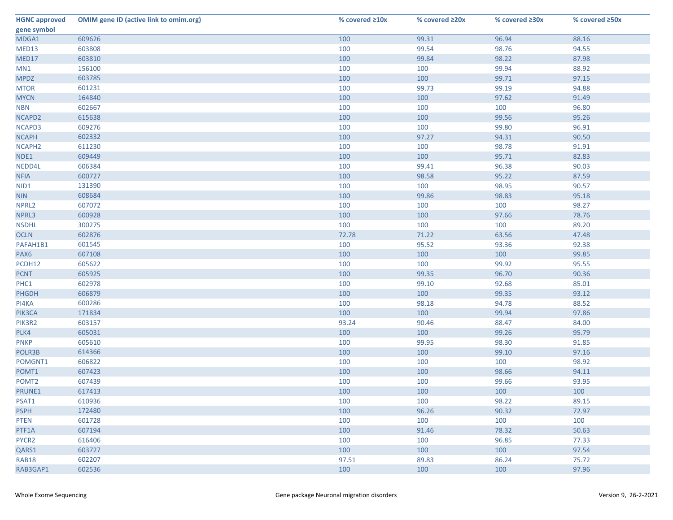| <b>HGNC approved</b> | <b>OMIM gene ID (active link to omim.org)</b> | % covered ≥10x | % covered ≥20x | % covered ≥30x | % covered ≥50x |
|----------------------|-----------------------------------------------|----------------|----------------|----------------|----------------|
| gene symbol          |                                               |                |                |                |                |
| MDGA1                | 609626                                        | 100            | 99.31          | 96.94          | 88.16          |
| MED13                | 603808                                        | 100            | 99.54          | 98.76          | 94.55          |
| MED17                | 603810                                        | 100            | 99.84          | 98.22          | 87.98          |
| MN1                  | 156100                                        | 100            | 100            | 99.94          | 88.92          |
| <b>MPDZ</b>          | 603785                                        | 100            | 100            | 99.71          | 97.15          |
| <b>MTOR</b>          | 601231                                        | 100            | 99.73          | 99.19          | 94.88          |
| <b>MYCN</b>          | 164840                                        | 100            | 100            | 97.62          | 91.49          |
| <b>NBN</b>           | 602667                                        | 100            | 100            | 100            | 96.80          |
| NCAPD2               | 615638                                        | 100            | 100            | 99.56          | 95.26          |
| NCAPD3               | 609276                                        | 100            | 100            | 99.80          | 96.91          |
| <b>NCAPH</b>         | 602332                                        | 100            | 97.27          | 94.31          | 90.50          |
| NCAPH <sub>2</sub>   | 611230                                        | 100            | 100            | 98.78          | 91.91          |
| NDE1                 | 609449                                        | 100            | 100            | 95.71          | 82.83          |
| NEDD4L               | 606384                                        | 100            | 99.41          | 96.38          | 90.03          |
| <b>NFIA</b>          | 600727                                        | 100            | 98.58          | 95.22          | 87.59          |
| NID1                 | 131390                                        | 100            | 100            | 98.95          | 90.57          |
| <b>NIN</b>           | 608684                                        | 100            | 99.86          | 98.83          | 95.18          |
| NPRL2                | 607072                                        | 100            | 100            | 100            | 98.27          |
| NPRL3                | 600928                                        | 100            | 100            | 97.66          | 78.76          |
| <b>NSDHL</b>         | 300275                                        | 100            | 100            | 100            | 89.20          |
| <b>OCLN</b>          | 602876                                        | 72.78          | 71.22          | 63.56          | 47.48          |
| PAFAH1B1             | 601545                                        | 100            | 95.52          | 93.36          | 92.38          |
| PAX6                 | 607108                                        | 100            | 100            | 100            | 99.85          |
| PCDH12               | 605622                                        | 100            | 100            | 99.92          | 95.55          |
| <b>PCNT</b>          | 605925                                        | 100            | 99.35          | 96.70          | 90.36          |
| PHC1                 | 602978                                        | 100            | 99.10          | 92.68          | 85.01          |
| <b>PHGDH</b>         | 606879                                        | 100            | 100            | 99.35          | 93.12          |
| PI4KA                | 600286                                        | 100            | 98.18          | 94.78          | 88.52          |
| PIK3CA               | 171834                                        | 100            | 100            | 99.94          | 97.86          |
| PIK3R2               | 603157                                        | 93.24          | 90.46          | 88.47          | 84.00          |
| PLK4                 | 605031                                        | 100            | 100            | 99.26          | 95.79          |
| <b>PNKP</b>          | 605610                                        | 100            | 99.95          | 98.30          | 91.85          |
| POLR3B               | 614366                                        | 100            | 100            | 99.10          | 97.16          |
| POMGNT1              | 606822                                        | 100            | 100            | 100            | 98.92          |
| POMT1                | 607423                                        | 100            | 100            | 98.66          | 94.11          |
| POMT <sub>2</sub>    | 607439                                        | 100            | 100            | 99.66          | 93.95          |
| PRUNE1               | 617413                                        | 100            | 100            | 100            | 100            |
| PSAT1                | 610936                                        | 100            | 100            | 98.22          | 89.15          |
| <b>PSPH</b>          | 172480                                        | 100            | 96.26          | 90.32          | 72.97          |
| <b>PTEN</b>          | 601728                                        | 100            | 100            | 100            | 100            |
| PTF1A                | 607194                                        | 100            | 91.46          | 78.32          | 50.63          |
| PYCR2                | 616406                                        | 100            | 100            | 96.85          | 77.33          |
| QARS1                | 603727                                        | 100            | 100            | 100            | 97.54          |
| <b>RAB18</b>         | 602207                                        | 97.51          | 89.83          | 86.24          | 75.72          |
| RAB3GAP1             | 602536                                        | 100            | 100            | 100            | 97.96          |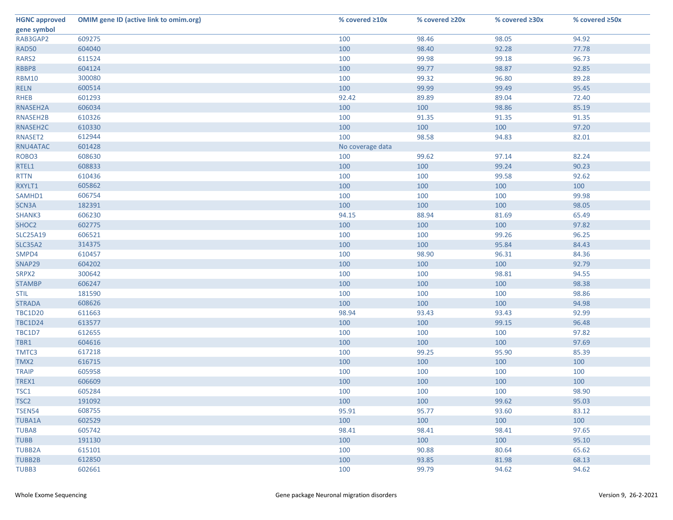| <b>HGNC approved</b> | <b>OMIM gene ID (active link to omim.org)</b> | % covered ≥10x   | % covered ≥20x | % covered ≥30x | % covered ≥50x |
|----------------------|-----------------------------------------------|------------------|----------------|----------------|----------------|
| gene symbol          |                                               |                  |                |                |                |
| RAB3GAP2             | 609275                                        | 100              | 98.46          | 98.05          | 94.92          |
| <b>RAD50</b>         | 604040                                        | 100              | 98.40          | 92.28          | 77.78          |
| RARS2                | 611524                                        | 100              | 99.98          | 99.18          | 96.73          |
| RBBP8                | 604124                                        | 100              | 99.77          | 98.87          | 92.85          |
| <b>RBM10</b>         | 300080                                        | 100              | 99.32          | 96.80          | 89.28          |
| <b>RELN</b>          | 600514                                        | 100              | 99.99          | 99.49          | 95.45          |
| <b>RHEB</b>          | 601293                                        | 92.42            | 89.89          | 89.04          | 72.40          |
| RNASEH2A             | 606034                                        | 100              | 100            | 98.86          | 85.19          |
| RNASEH2B             | 610326                                        | 100              | 91.35          | 91.35          | 91.35          |
| RNASEH2C             | 610330                                        | 100              | 100            | 100            | 97.20          |
| RNASET2              | 612944                                        | 100              | 98.58          | 94.83          | 82.01          |
| RNU4ATAC             | 601428                                        | No coverage data |                |                |                |
| ROBO <sub>3</sub>    | 608630                                        | 100              | 99.62          | 97.14          | 82.24          |
| RTEL1                | 608833                                        | 100              | 100            | 99.24          | 90.23          |
| <b>RTTN</b>          | 610436                                        | 100              | 100            | 99.58          | 92.62          |
| RXYLT1               | 605862                                        | 100              | 100            | 100            | 100            |
| SAMHD1               | 606754                                        | 100              | 100            | 100            | 99.98          |
| SCN3A                | 182391                                        | 100              | 100            | 100            | 98.05          |
| SHANK3               | 606230                                        | 94.15            | 88.94          | 81.69          | 65.49          |
| SHOC2                | 602775                                        | 100              | 100            | 100            | 97.82          |
| <b>SLC25A19</b>      | 606521                                        | 100              | 100            | 99.26          | 96.25          |
| <b>SLC35A2</b>       | 314375                                        | 100              | 100            | 95.84          | 84.43          |
| SMPD4                | 610457                                        | 100              | 98.90          | 96.31          | 84.36          |
| SNAP29               | 604202                                        | 100              | 100            | 100            | 92.79          |
| SRPX2                | 300642                                        | 100              | 100            | 98.81          | 94.55          |
| <b>STAMBP</b>        | 606247                                        | 100              | 100            | 100            | 98.38          |
| <b>STIL</b>          | 181590                                        | 100              | 100            | 100            | 98.86          |
| <b>STRADA</b>        | 608626                                        | 100              | 100            | 100            | 94.98          |
| <b>TBC1D20</b>       | 611663                                        | 98.94            | 93.43          | 93.43          | 92.99          |
| <b>TBC1D24</b>       | 613577                                        | 100              | 100            | 99.15          | 96.48          |
| TBC1D7               | 612655                                        | 100              | 100            | 100            | 97.82          |
| TBR1                 | 604616                                        | 100              | 100            | 100            | 97.69          |
| TMTC3                | 617218                                        | 100              | 99.25          | 95.90          | 85.39          |
| TMX2                 | 616715                                        | 100              | 100            | 100            | 100            |
| <b>TRAIP</b>         | 605958                                        | 100              | 100            | 100            | 100            |
| TREX1                | 606609                                        | 100              | 100            | 100            | 100            |
| TSC1                 | 605284                                        | 100              | 100            | 100            | 98.90          |
| TSC <sub>2</sub>     | 191092                                        | 100              | 100            | 99.62          | 95.03          |
| <b>TSEN54</b>        | 608755                                        | 95.91            | 95.77          | 93.60          | 83.12          |
| <b>TUBA1A</b>        | 602529                                        | 100              | 100            | 100            | 100            |
| <b>TUBA8</b>         | 605742                                        | 98.41            | 98.41          | 98.41          | 97.65          |
| <b>TUBB</b>          | 191130                                        | 100              | 100            | 100            | 95.10          |
| <b>TUBB2A</b>        | 615101                                        | 100              | 90.88          | 80.64          | 65.62          |
| <b>TUBB2B</b>        | 612850                                        | 100              | 93.85          | 81.98          | 68.13          |
| TUBB3                | 602661                                        | 100              | 99.79          | 94.62          | 94.62          |